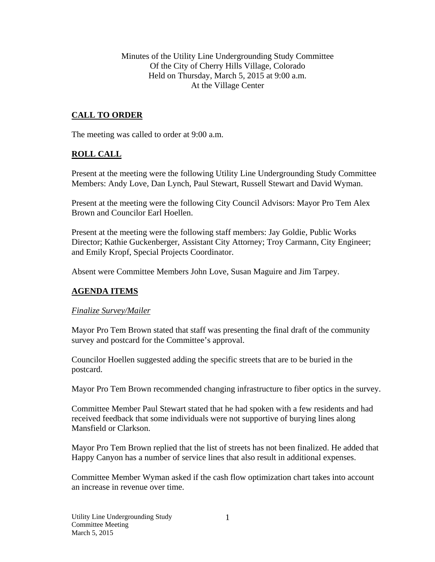Minutes of the Utility Line Undergrounding Study Committee Of the City of Cherry Hills Village, Colorado Held on Thursday, March 5, 2015 at 9:00 a.m. At the Village Center

# **CALL TO ORDER**

The meeting was called to order at 9:00 a.m.

## **ROLL CALL**

Present at the meeting were the following Utility Line Undergrounding Study Committee Members: Andy Love, Dan Lynch, Paul Stewart, Russell Stewart and David Wyman.

Present at the meeting were the following City Council Advisors: Mayor Pro Tem Alex Brown and Councilor Earl Hoellen.

Present at the meeting were the following staff members: Jay Goldie, Public Works Director; Kathie Guckenberger, Assistant City Attorney; Troy Carmann, City Engineer; and Emily Kropf, Special Projects Coordinator.

Absent were Committee Members John Love, Susan Maguire and Jim Tarpey.

#### **AGENDA ITEMS**

#### *Finalize Survey/Mailer*

Mayor Pro Tem Brown stated that staff was presenting the final draft of the community survey and postcard for the Committee's approval.

Councilor Hoellen suggested adding the specific streets that are to be buried in the postcard.

Mayor Pro Tem Brown recommended changing infrastructure to fiber optics in the survey.

Committee Member Paul Stewart stated that he had spoken with a few residents and had received feedback that some individuals were not supportive of burying lines along Mansfield or Clarkson.

Mayor Pro Tem Brown replied that the list of streets has not been finalized. He added that Happy Canyon has a number of service lines that also result in additional expenses.

Committee Member Wyman asked if the cash flow optimization chart takes into account an increase in revenue over time.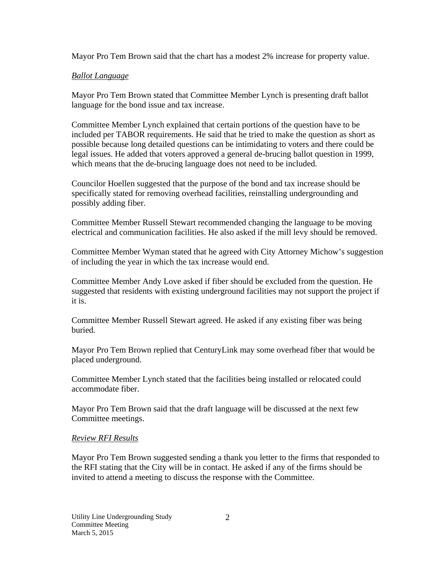Mayor Pro Tem Brown said that the chart has a modest 2% increase for property value.

## *Ballot Language*

Mayor Pro Tem Brown stated that Committee Member Lynch is presenting draft ballot language for the bond issue and tax increase.

Committee Member Lynch explained that certain portions of the question have to be included per TABOR requirements. He said that he tried to make the question as short as possible because long detailed questions can be intimidating to voters and there could be legal issues. He added that voters approved a general de-brucing ballot question in 1999, which means that the de-brucing language does not need to be included.

Councilor Hoellen suggested that the purpose of the bond and tax increase should be specifically stated for removing overhead facilities, reinstalling undergrounding and possibly adding fiber.

Committee Member Russell Stewart recommended changing the language to be moving electrical and communication facilities. He also asked if the mill levy should be removed.

Committee Member Wyman stated that he agreed with City Attorney Michow's suggestion of including the year in which the tax increase would end.

Committee Member Andy Love asked if fiber should be excluded from the question. He suggested that residents with existing underground facilities may not support the project if it is.

Committee Member Russell Stewart agreed. He asked if any existing fiber was being buried.

Mayor Pro Tem Brown replied that CenturyLink may some overhead fiber that would be placed underground.

Committee Member Lynch stated that the facilities being installed or relocated could accommodate fiber.

Mayor Pro Tem Brown said that the draft language will be discussed at the next few Committee meetings.

#### *Review RFI Results*

Mayor Pro Tem Brown suggested sending a thank you letter to the firms that responded to the RFI stating that the City will be in contact. He asked if any of the firms should be invited to attend a meeting to discuss the response with the Committee.